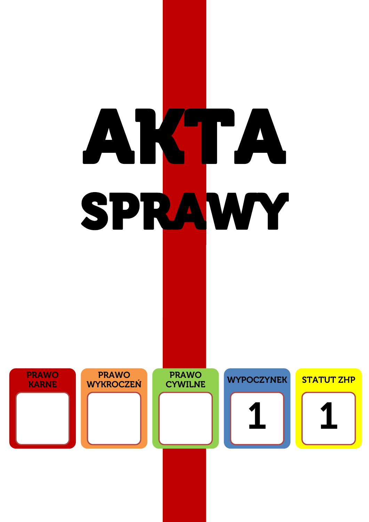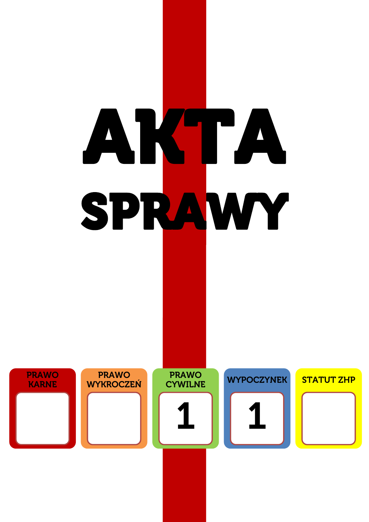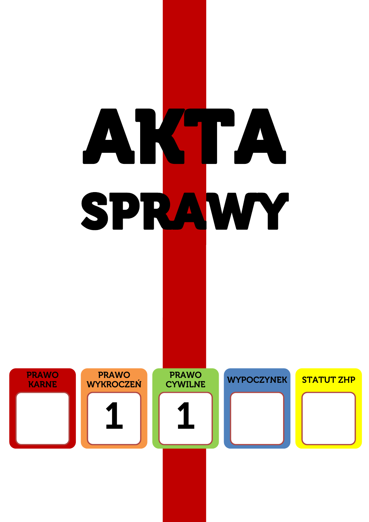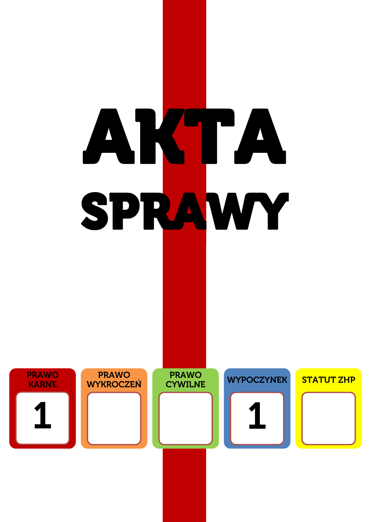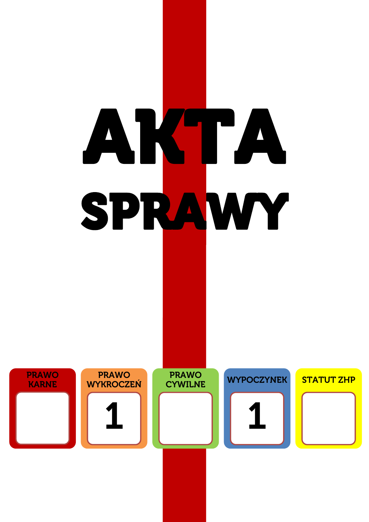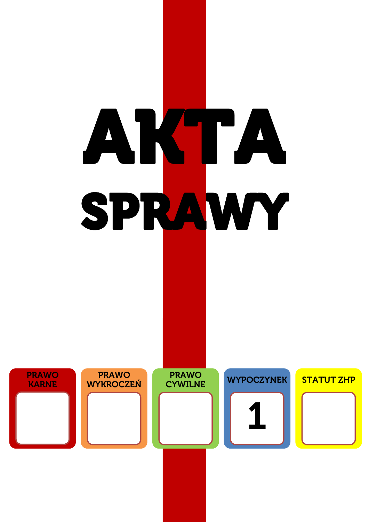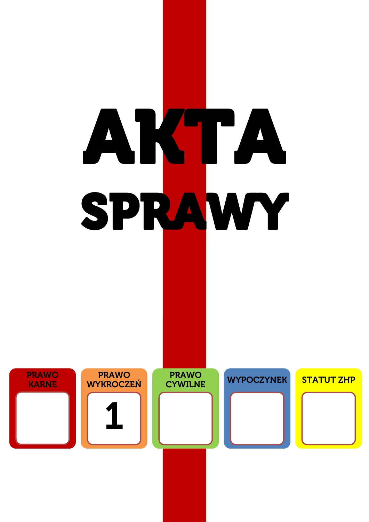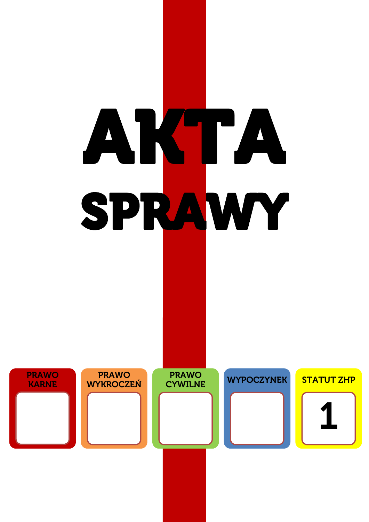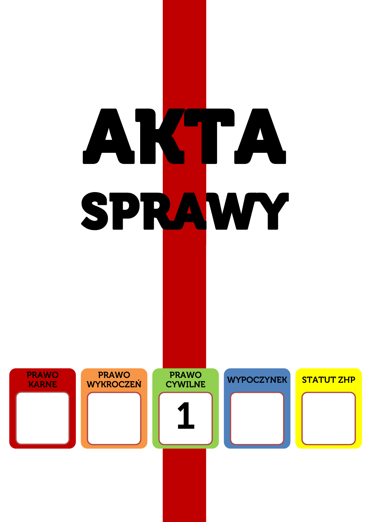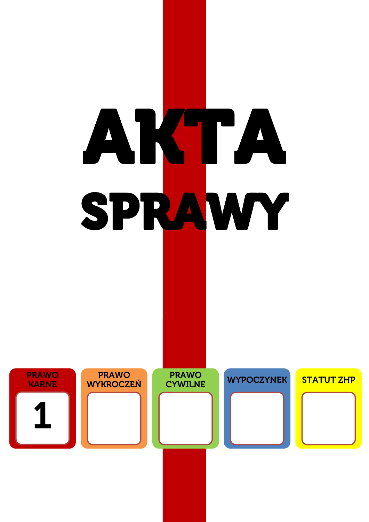![](_page_9_Figure_0.jpeg)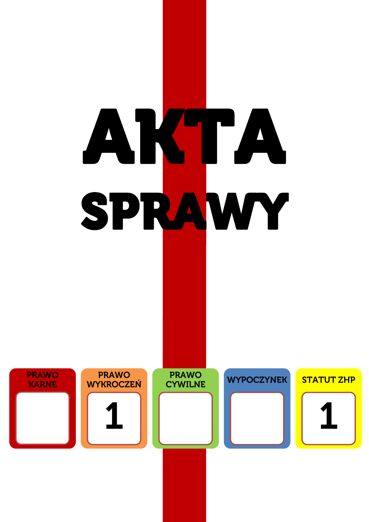![](_page_10_Figure_0.jpeg)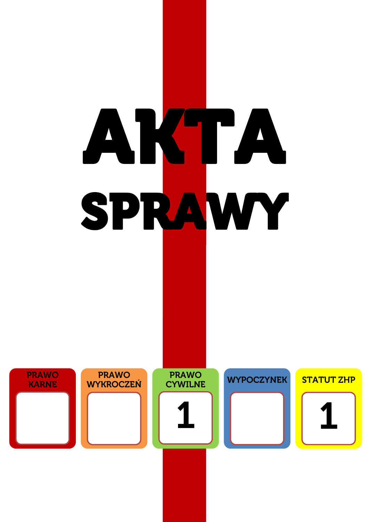![](_page_11_Figure_0.jpeg)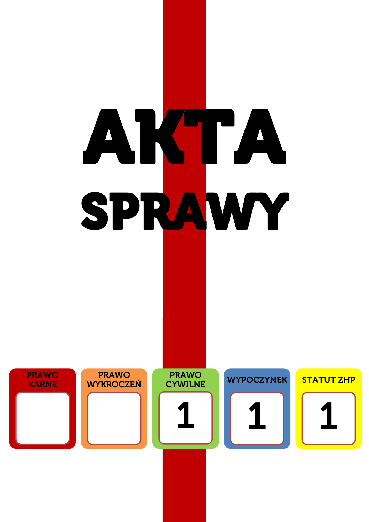![](_page_12_Figure_0.jpeg)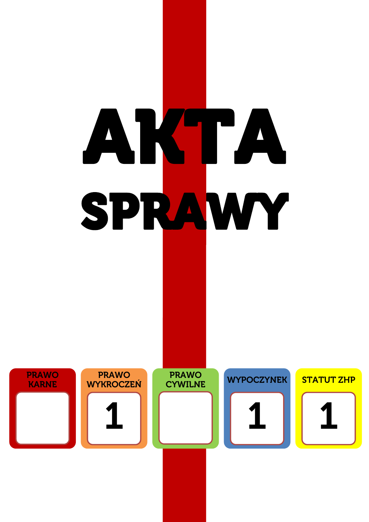![](_page_13_Figure_0.jpeg)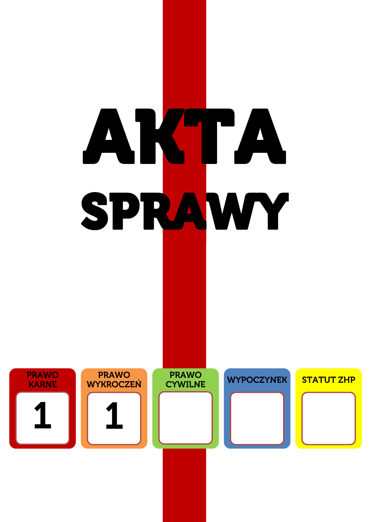![](_page_14_Figure_0.jpeg)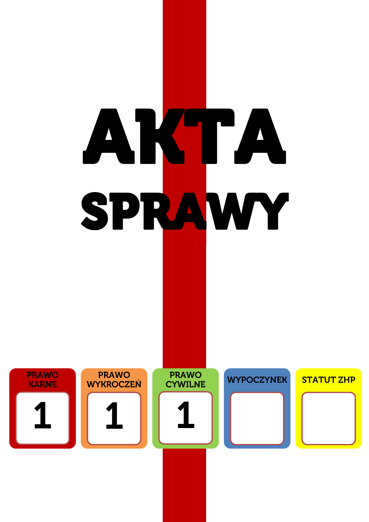![](_page_15_Figure_0.jpeg)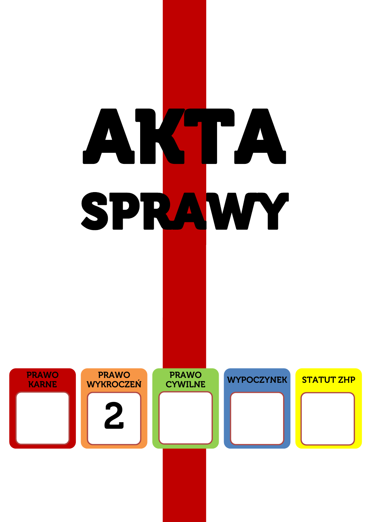![](_page_16_Figure_0.jpeg)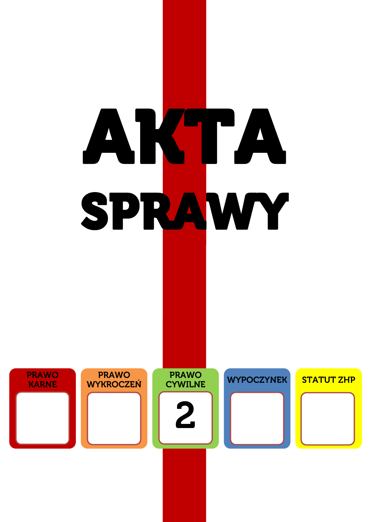![](_page_17_Figure_0.jpeg)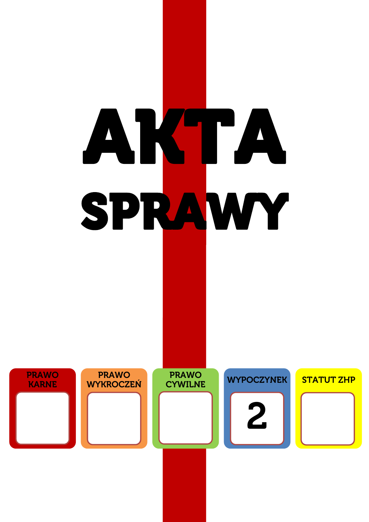![](_page_18_Figure_0.jpeg)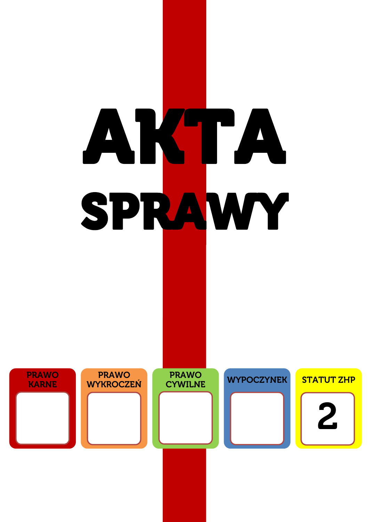![](_page_19_Figure_0.jpeg)